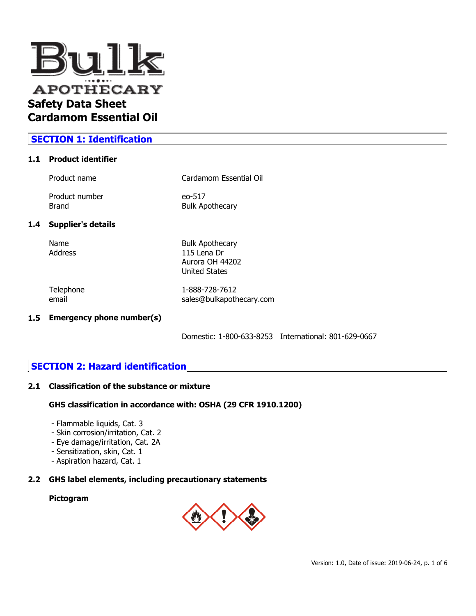

## **SECTION 1: Identification**

#### **1.1 Product identifier**

| Product name              | Cardamom Essential Oil           |
|---------------------------|----------------------------------|
| Product number<br>Brand   | eo-517<br><b>Bulk Apothecary</b> |
| <b>Supplier's details</b> |                                  |
| Name                      | <b>Bulk Apothecary</b>           |

Address 115 Lena Dr

**1.4 Supplier's details**

Aurora OH 44202 United States

Telephone 1-888-728-7612 email sales@bulkapothecary.com

#### **1.5 Emergency phone number(s)**

Domestic: 1-800-633-8253 International: 801-629-0667

### **SECTION 2: Hazard identification**

#### **2.1 Classification of the substance or mixture**

#### **GHS classification in accordance with: OSHA (29 CFR 1910.1200)**

- Flammable liquids, Cat. 3
- Skin corrosion/irritation, Cat. 2
- Eye damage/irritation, Cat. 2A
- Sensitization, skin, Cat. 1
- Aspiration hazard, Cat. 1

#### **2.2 GHS label elements, including precautionary statements**

#### **Pictogram**

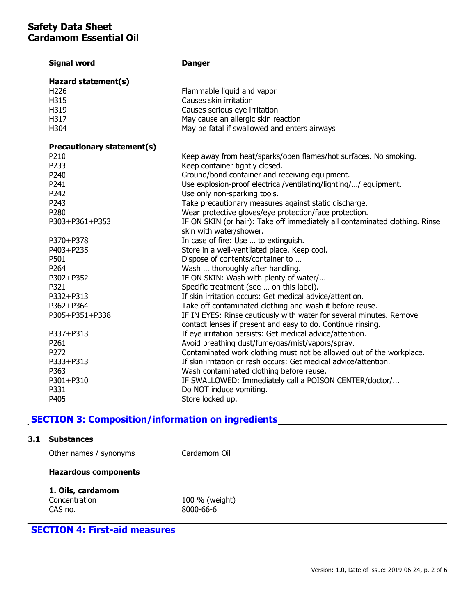| <b>Signal word</b>                | <b>Danger</b>                                                               |
|-----------------------------------|-----------------------------------------------------------------------------|
| Hazard statement(s)               |                                                                             |
| H <sub>226</sub>                  | Flammable liquid and vapor                                                  |
| H315                              | Causes skin irritation                                                      |
| H319                              | Causes serious eye irritation                                               |
| H317                              | May cause an allergic skin reaction                                         |
| H304                              | May be fatal if swallowed and enters airways                                |
| <b>Precautionary statement(s)</b> |                                                                             |
| P210                              | Keep away from heat/sparks/open flames/hot surfaces. No smoking.            |
| P233                              | Keep container tightly closed.                                              |
| P240                              | Ground/bond container and receiving equipment.                              |
| P241                              | Use explosion-proof electrical/ventilating/lighting// equipment.            |
| P242                              | Use only non-sparking tools.                                                |
| P243                              | Take precautionary measures against static discharge.                       |
| P280                              | Wear protective gloves/eye protection/face protection.                      |
| P303+P361+P353                    | IF ON SKIN (or hair): Take off immediately all contaminated clothing. Rinse |
|                                   | skin with water/shower.                                                     |
| P370+P378                         | In case of fire: Use  to extinguish.                                        |
| P403+P235                         | Store in a well-ventilated place. Keep cool.                                |
| P501                              | Dispose of contents/container to                                            |
| P264                              | Wash  thoroughly after handling.                                            |
| P302+P352                         | IF ON SKIN: Wash with plenty of water/                                      |
| P321                              | Specific treatment (see  on this label).                                    |
| P332+P313                         | If skin irritation occurs: Get medical advice/attention.                    |
| P362+P364                         | Take off contaminated clothing and wash it before reuse.                    |
| P305+P351+P338                    | IF IN EYES: Rinse cautiously with water for several minutes. Remove         |
|                                   | contact lenses if present and easy to do. Continue rinsing.                 |
| P337+P313                         | If eye irritation persists: Get medical advice/attention.                   |
| P261                              | Avoid breathing dust/fume/gas/mist/vapors/spray.                            |
| P272                              | Contaminated work clothing must not be allowed out of the workplace.        |
| P333+P313                         | If skin irritation or rash occurs: Get medical advice/attention.            |
| P363                              | Wash contaminated clothing before reuse.                                    |
| P301+P310                         | IF SWALLOWED: Immediately call a POISON CENTER/doctor/                      |
| P331                              | Do NOT induce vomiting.                                                     |
| P405                              | Store locked up.                                                            |

# **SECTION 3: Composition/information on ingredients**

### **3.1 Substances**

| Other names / synonyms | Cardamom Oil   |
|------------------------|----------------|
| Hazardous components   |                |
| 1. Oils, cardamom      |                |
| Concentration          | 100 % (weight) |

CAS no. 8000-66-6

**SECTION 4: First-aid measures**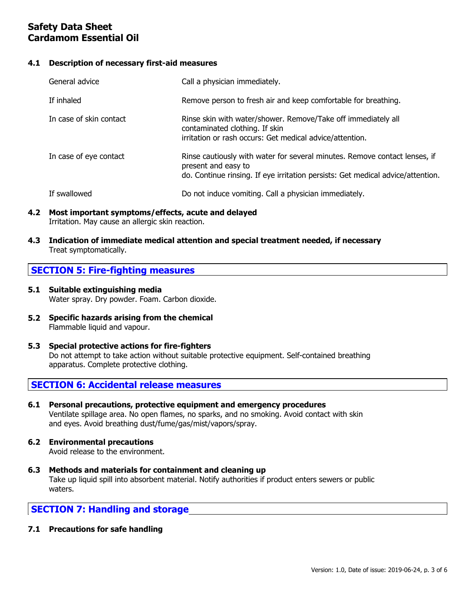#### **4.1 Description of necessary first-aid measures**

| General advice          | Call a physician immediately.                                                                                                                                                        |
|-------------------------|--------------------------------------------------------------------------------------------------------------------------------------------------------------------------------------|
| If inhaled              | Remove person to fresh air and keep comfortable for breathing.                                                                                                                       |
| In case of skin contact | Rinse skin with water/shower. Remove/Take off immediately all<br>contaminated clothing. If skin<br>irritation or rash occurs: Get medical advice/attention.                          |
| In case of eye contact  | Rinse cautiously with water for several minutes. Remove contact lenses, if<br>present and easy to<br>do. Continue rinsing. If eye irritation persists: Get medical advice/attention. |
| If swallowed            | Do not induce vomiting. Call a physician immediately.                                                                                                                                |

- **4.2 Most important symptoms/effects, acute and delayed** Irritation. May cause an allergic skin reaction.
- **4.3 Indication of immediate medical attention and special treatment needed, if necessary** Treat symptomatically.

- **5.1 Suitable extinguishing media** Water spray. Dry powder. Foam. Carbon dioxide.
- **5.2 Specific hazards arising from the chemical** Flammable liquid and vapour.
- **5.3 Special protective actions for fire-fighters** Do not attempt to take action without suitable protective equipment. Self-contained breathing apparatus. Complete protective clothing.

**SECTION 6: Accidental release measures**

- **6.1 Personal precautions, protective equipment and emergency procedures** Ventilate spillage area. No open flames, no sparks, and no smoking. Avoid contact with skin and eyes. Avoid breathing dust/fume/gas/mist/vapors/spray.
- **6.2 Environmental precautions**

Avoid release to the environment.

**6.3 Methods and materials for containment and cleaning up** Take up liquid spill into absorbent material. Notify authorities if product enters sewers or public waters.

## **SECTION 7: Handling and storage**

**7.1 Precautions for safe handling**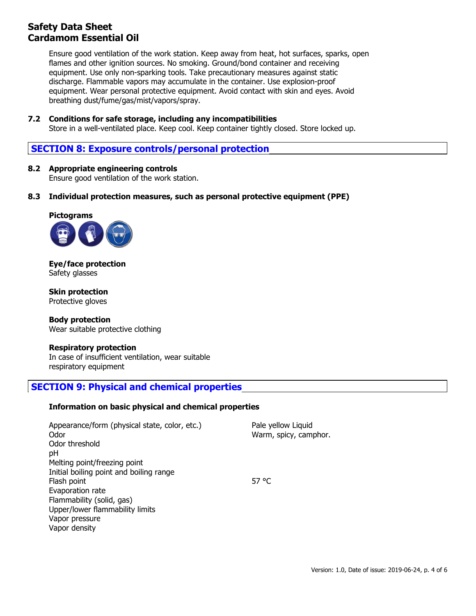Ensure good ventilation of the work station. Keep away from heat, hot surfaces, sparks, open flames and other ignition sources. No smoking. Ground/bond container and receiving equipment. Use only non-sparking tools. Take precautionary measures against static discharge. Flammable vapors may accumulate in the container. Use explosion-proof equipment. Wear personal protective equipment. Avoid contact with skin and eyes. Avoid breathing dust/fume/gas/mist/vapors/spray.

#### **7.2 Conditions for safe storage, including any incompatibilities**

Store in a well-ventilated place. Keep cool. Keep container tightly closed. Store locked up.

### **SECTION 8: Exposure controls/personal protection**

#### **8.2 Appropriate engineering controls**

Ensure good ventilation of the work station.

#### **8.3 Individual protection measures, such as personal protective equipment (PPE)**



**Eye/face protection** Safety glasses

**Skin protection** Protective gloves

**Body protection** Wear suitable protective clothing

#### **Respiratory protection**

In case of insufficient ventilation, wear suitable respiratory equipment

### **SECTION 9: Physical and chemical properties**

#### **Information on basic physical and chemical properties**

| Appearance/form (physical state, color, etc.) | Pale yellow Liquid    |
|-----------------------------------------------|-----------------------|
| Odor                                          | Warm, spicy, camphor. |
| Odor threshold                                |                       |
| pH                                            |                       |
| Melting point/freezing point                  |                       |
| Initial boiling point and boiling range       |                       |
| Flash point                                   | 57 °C                 |
| Evaporation rate                              |                       |
| Flammability (solid, gas)                     |                       |
| Upper/lower flammability limits               |                       |
| Vapor pressure                                |                       |
| Vapor density                                 |                       |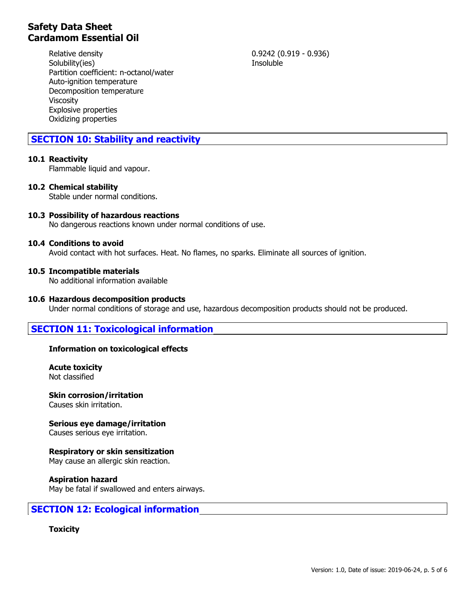Relative density 0.9242 (0.919 - 0.936) Solubility(ies) and insoluble in the Insoluble of the Insoluble in the Insoluble of the Insoluble of the Insoluble of the Insoluble of the Insoluble of the Insoluble of the Insoluble of the Insoluble of the Insoluble of th Partition coefficient: n-octanol/water Auto-ignition temperature Decomposition temperature Viscosity Explosive properties Oxidizing properties

## **SECTION 10: Stability and reactivity**

#### **10.1 Reactivity**

Flammable liquid and vapour.

#### **10.2 Chemical stability**

Stable under normal conditions.

#### **10.3 Possibility of hazardous reactions**

No dangerous reactions known under normal conditions of use.

#### **10.4 Conditions to avoid**

Avoid contact with hot surfaces. Heat. No flames, no sparks. Eliminate all sources of ignition.

#### **10.5 Incompatible materials**

No additional information available

#### **10.6 Hazardous decomposition products**

Under normal conditions of storage and use, hazardous decomposition products should not be produced.

### **SECTION 11: Toxicological information**

#### **Information on toxicological effects**

**Acute toxicity** Not classified

#### **Skin corrosion/irritation**

Causes skin irritation.

#### **Serious eye damage/irritation**

Causes serious eye irritation.

#### **Respiratory or skin sensitization**

May cause an allergic skin reaction.

#### **Aspiration hazard**

May be fatal if swallowed and enters airways.

### **SECTION 12: Ecological information**

#### **Toxicity**